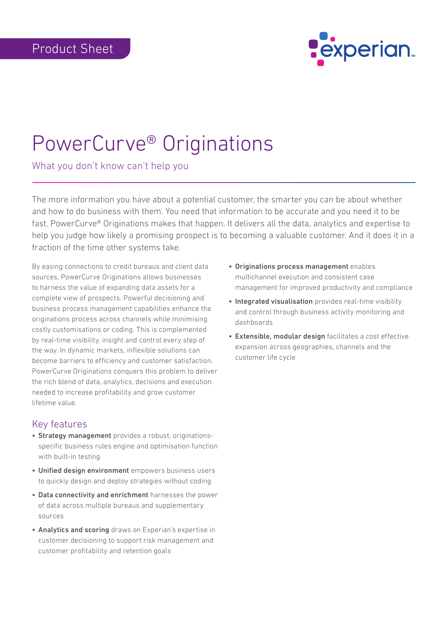

# PowerCurve® Originations

What you don't know can't help you

The more information you have about a potential customer, the smarter you can be about whether and how to do business with them. You need that information to be accurate and you need it to be fast. PowerCurve® Originations makes that happen. It delivers all the data, analytics and expertise to help you judge how likely a promising prospect is to becoming a valuable customer. And it does it in a fraction of the time other systems take.

By easing connections to credit bureaus and client data sources, PowerCurve Originations allows businesses to harness the value of expanding data assets for a complete view of prospects. Powerful decisioning and business process management capabilities enhance the originations process across channels while minimising costly customisations or coding. This is complemented by real-time visibility, insight and control every step of the way. In dynamic markets, inflexible solutions can become barriers to efficiency and customer satisfaction. PowerCurve Originations conquers this problem to deliver the rich blend of data, analytics, decisions and execution needed to increase profitability and grow customer lifetime value.

#### Key features

- Strategy management provides a robust, originationsspecific business rules engine and optimisation function with built-in testing
- Unified design environment empowers business users to quickly design and deploy strategies without coding
- Data connectivity and enrichment harnesses the power of data across multiple bureaus and supplementary sources
- Analytics and scoring draws on Experian's expertise in customer decisioning to support risk management and customer profitability and retention goals
- • Originations process management enables multichannel execution and consistent case management for improved productivity and compliance
- Integrated visualisation provides real-time visibility and control through business activity monitoring and dashboards
- Extensible, modular design facilitates a cost effective expansion across geographies, channels and the customer life cycle